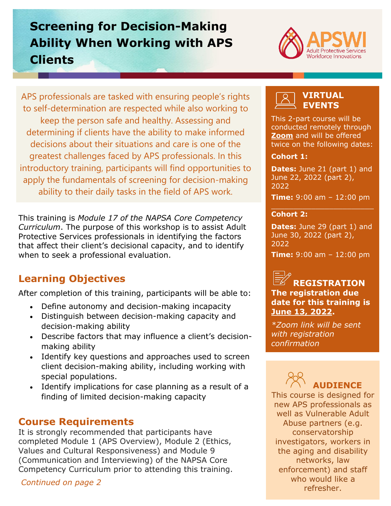## **Screening for Decision-Making Ability When Working with APS Clients**



APS professionals are tasked with ensuring people's rights to self-determination are respected while also working to keep the person safe and healthy. Assessing and determining if clients have the ability to make informed decisions about their situations and care is one of the greatest challenges faced by APS professionals. In this introductory training, participants will find opportunities to apply the fundamentals of screening for decision-making ability to their daily tasks in the field of APS work.

This training is *Module 17 of the NAPSA Core Competency Curriculum*. The purpose of this workshop is to assist Adult Protective Services professionals in identifying the factors that affect their client's decisional capacity, and to identify when to seek a professional evaluation.

## **Learning Objectives**

After completion of this training, participants will be able to:

- Define autonomy and decision-making incapacity
- Distinguish between decision-making capacity and decision-making ability
- Describe factors that may influence a client's decisionmaking ability
- Identify key questions and approaches used to screen client decision-making ability, including working with special populations.
- Identify implications for case planning as a result of a finding of limited decision-making capacity

#### **Course Requirements**

It is strongly recommended that participants have completed Module 1 (APS Overview), Module 2 (Ethics, Values and Cultural Responsiveness) and Module 9 (Communication and Interviewing) of the NAPSA Core Competency Curriculum prior to attending this training.

*Continued on page 2*

#### **VIRTUAL EVENTS**

This 2-part course will be conducted remotely through **[Zoom](https://zoom.us/)** and will be offered twice on the following dates:

#### **Cohort 1:**

**Dates: June 21 (part 1) and** June 22, 2022 (part 2), 2022

**Time:** 9:00 am – 12:00 pm  $\mathcal{L}_\mathcal{A}$  , where  $\mathcal{L}_\mathcal{A}$  is the set of the set of the set of the set of the set of the set of the set of the set of the set of the set of the set of the set of the set of the set of the set of the set of the

#### **Cohort 2:**

**Dates: June 29 (part 1) and** June 30, 2022 (part 2), 2022

**Time:** 9:00 am – 12:00 pm

#### **REGISTRATION The registration due date for this training is June 13, 2022.**

*\*Zoom link will be sent with registration confirmation*

# **AUDIENCE**

This course is designed for new APS professionals as well as Vulnerable Adult Abuse partners (e.g. conservatorship investigators, workers in the aging and disability networks, law enforcement) and staff who would like a refresher.